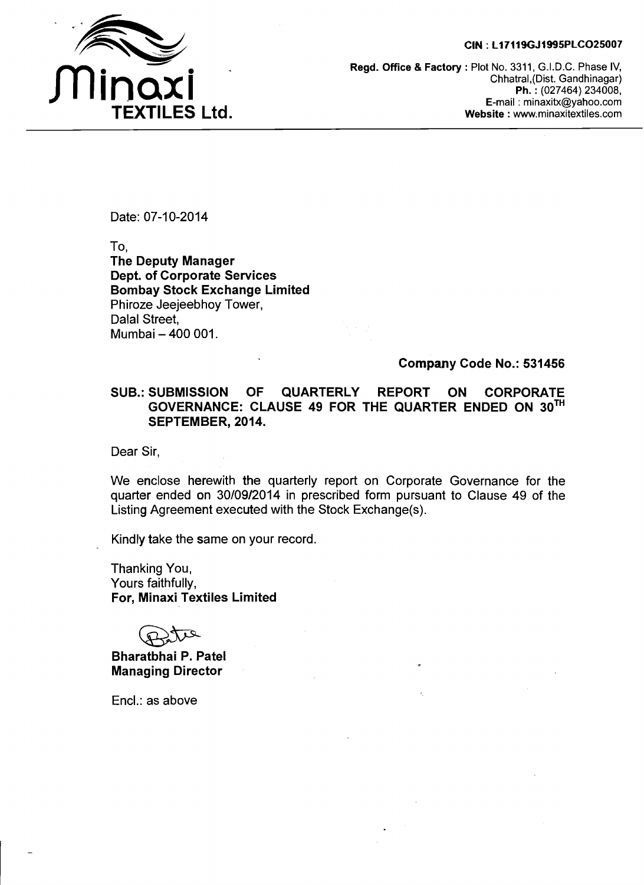#### **CIN** : **L17119GJ1995PLC025007**



**Regd. Office** & **Factory** : Plot No. 3311, G.I.D.C. Phase IV, Chhatral,(Dist. Gandhinagar) **Ph.** : (027464) 234008, E-mail : minaxitx@yahoo.com **Website** : www.minaxitextiles.com

Date: 07-10-2014

To,

**The Deputy Manager Dept. of Corporate Services Bombay Stock Exchange Limited**  Phiroze Jeejeebhoy Tower, Dalal Street, Mumbai - 400 001.

## **Company Code No.: 531456**

### **SUB.: SUBMISSION OF QUARTERLY REPORT ON CORPORATE GOVERNANCE: CLAUSE 49 FOR THE QUARTER ENDED ON 3oTH SEPTEMBER, 2014.**

Dear Sir,

We enclose herewith the quarterly report on Corporate Governance for the quarter ended on 30/09/2014 in prescribed form pursuant to Clause 49 of the Listing Agreement executed with the Stock Exchange(s).

Kindly take the same on your record.

Thanking You, Yours faithfully, **For, Minaxi Textiles Limited** 

**Bharatbhai P. Patel Managing Director** 

Encl.: as above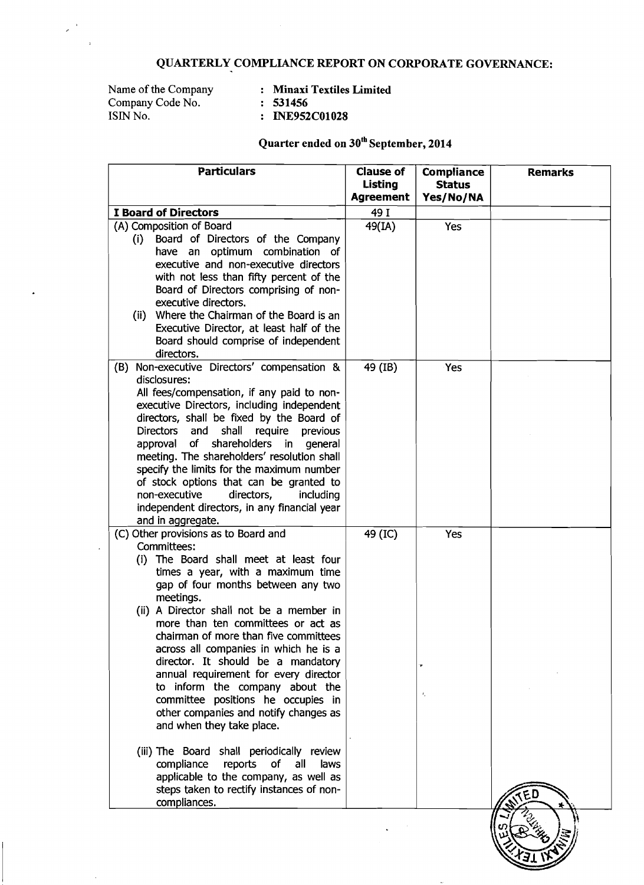# **QUARTERLY COMPLIANCE REPORT ON CORPORATE GOVERNANCE:**

Name of the Company : **Minaxi Textiles Limited**  Name of the Company<br>Company Code No. : 531456 **ISIN No.**  $\qquad \qquad : 531456$ <br>ISIN No.  $\qquad \qquad : 181456$ <br>**ISIN** No.

 $\lambda$ 

 $\overline{\phantom{a}}$ 

# **Quarter ended on 30" September, 2014**

| <b>Particulars</b>                                                                       | <b>Clause of</b>            | <b>Compliance</b>          | <b>Remarks</b> |
|------------------------------------------------------------------------------------------|-----------------------------|----------------------------|----------------|
|                                                                                          | Listing<br><b>Agreement</b> | <b>Status</b><br>Yes/No/NA |                |
| I Board of Directors                                                                     | 49 I                        |                            |                |
| (A) Composition of Board                                                                 | 49(IA)                      | <b>Yes</b>                 |                |
| Board of Directors of the Company<br>(i)                                                 |                             |                            |                |
| have an optimum combination of                                                           |                             |                            |                |
| executive and non-executive directors                                                    |                             |                            |                |
| with not less than fifty percent of the<br>Board of Directors comprising of non-         |                             |                            |                |
| executive directors.                                                                     |                             |                            |                |
| (ii) Where the Chairman of the Board is an                                               |                             |                            |                |
| Executive Director, at least half of the                                                 |                             |                            |                |
| Board should comprise of independent                                                     |                             |                            |                |
| directors.<br>Non-executive Directors' compensation &<br>(B)                             | 49 (IB)                     | Yes                        |                |
| disclosures:                                                                             |                             |                            |                |
| All fees/compensation, if any paid to non-                                               |                             |                            |                |
| executive Directors, including independent                                               |                             |                            |                |
| directors, shall be fixed by the Board of                                                |                             |                            |                |
| and<br>shall require<br><b>Directors</b><br>previous                                     |                             |                            |                |
| shareholders in general<br>approval<br>of<br>meeting. The shareholders' resolution shall |                             |                            |                |
| specify the limits for the maximum number                                                |                             |                            |                |
| of stock options that can be granted to                                                  |                             |                            |                |
| directors,<br>non-executive<br>including                                                 |                             |                            |                |
| independent directors, in any financial year                                             |                             |                            |                |
| and in aggregate.<br>(C) Other provisions as to Board and                                | 49 (IC)                     | Yes                        |                |
| Committees:                                                                              |                             |                            |                |
| The Board shall meet at least four<br>(i)                                                |                             |                            |                |
| times a year, with a maximum time                                                        |                             |                            |                |
| gap of four months between any two<br>meetings.                                          |                             |                            |                |
| (ii) A Director shall not be a member in                                                 |                             |                            |                |
| more than ten committees or act as                                                       |                             |                            |                |
| chairman of more than five committees                                                    |                             |                            |                |
| across all companies in which he is a                                                    |                             |                            |                |
| director. It should be a mandatory                                                       |                             |                            |                |
| annual requirement for every director<br>to inform the company about the                 |                             |                            |                |
| committee positions he occupies in                                                       |                             | λ.                         |                |
| other companies and notify changes as                                                    |                             |                            |                |
| and when they take place.                                                                |                             |                            |                |
|                                                                                          |                             |                            |                |
| (iii) The Board shall periodically review<br>reports<br>of<br>all<br>compliance<br>laws  |                             |                            |                |
| applicable to the company, as well as                                                    |                             |                            |                |
| steps taken to rectify instances of non-                                                 |                             |                            |                |
| compliances.                                                                             |                             |                            |                |
|                                                                                          |                             |                            |                |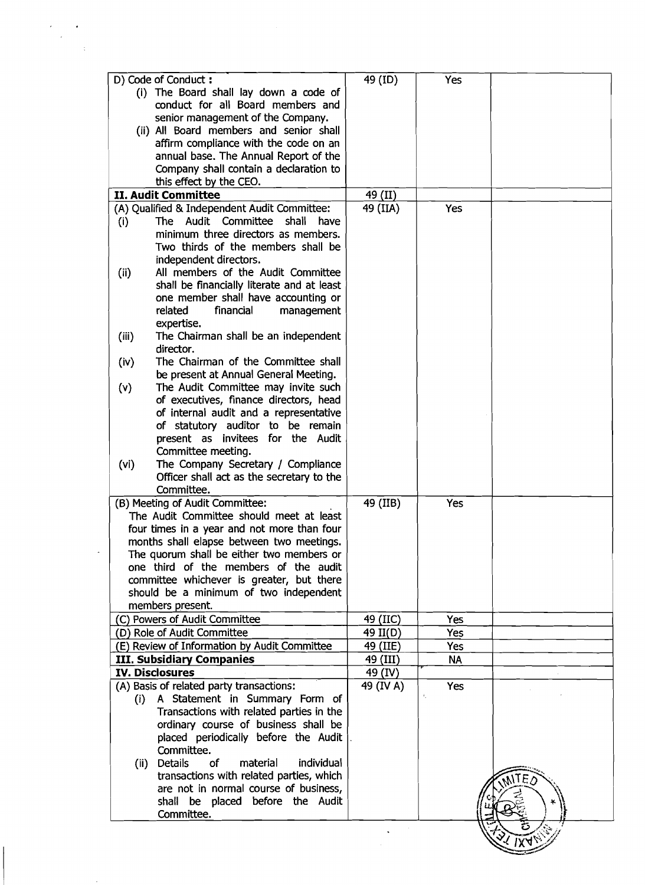|                        | D) Code of Conduct:<br>(i) The Board shall lay down a code of<br>conduct for all Board members and | 49 (ID)   | Yes                          |  |
|------------------------|----------------------------------------------------------------------------------------------------|-----------|------------------------------|--|
|                        |                                                                                                    |           |                              |  |
|                        |                                                                                                    |           |                              |  |
|                        |                                                                                                    |           |                              |  |
|                        |                                                                                                    |           |                              |  |
|                        | senior management of the Company.                                                                  |           |                              |  |
|                        | (ii) All Board members and senior shall                                                            |           |                              |  |
|                        | affirm compliance with the code on an                                                              |           |                              |  |
|                        | annual base. The Annual Report of the                                                              |           |                              |  |
|                        | Company shall contain a declaration to                                                             |           |                              |  |
|                        | this effect by the CEO.                                                                            |           |                              |  |
|                        | II. Audit Committee                                                                                | 49 (II)   |                              |  |
|                        | (A) Qualified & Independent Audit Committee:                                                       | 49 (IIA)  | <b>Yes</b>                   |  |
|                        | Audit Committee<br>shall<br>The<br>have                                                            |           |                              |  |
| (i)                    |                                                                                                    |           |                              |  |
|                        | minimum three directors as members.                                                                |           |                              |  |
|                        | Two thirds of the members shall be                                                                 |           |                              |  |
|                        | independent directors.                                                                             |           |                              |  |
| (ii)                   | All members of the Audit Committee                                                                 |           |                              |  |
|                        | shall be financially literate and at least                                                         |           |                              |  |
|                        | one member shall have accounting or                                                                |           |                              |  |
|                        | related<br>financial<br>management                                                                 |           |                              |  |
|                        | expertise.                                                                                         |           |                              |  |
|                        |                                                                                                    |           |                              |  |
| (iii)                  | The Chairman shall be an independent                                                               |           |                              |  |
|                        | director.                                                                                          |           |                              |  |
| (iv)                   | The Chairman of the Committee shall                                                                |           |                              |  |
|                        | be present at Annual General Meeting.                                                              |           |                              |  |
| (v)                    | The Audit Committee may invite such                                                                |           |                              |  |
|                        | of executives, finance directors, head                                                             |           |                              |  |
|                        | of internal audit and a representative                                                             |           |                              |  |
|                        | of statutory auditor to be remain                                                                  |           |                              |  |
|                        | present as invitees for the Audit                                                                  |           |                              |  |
|                        | Committee meeting.                                                                                 |           |                              |  |
| (vi)                   | The Company Secretary / Compliance                                                                 |           |                              |  |
|                        | Officer shall act as the secretary to the                                                          |           |                              |  |
|                        |                                                                                                    |           |                              |  |
|                        | Committee.                                                                                         |           |                              |  |
|                        | (B) Meeting of Audit Committee:                                                                    | 49 (IIB)  | Yes                          |  |
|                        | The Audit Committee should meet at least                                                           |           |                              |  |
|                        | four times in a year and not more than four                                                        |           |                              |  |
|                        | months shall elapse between two meetings.                                                          |           |                              |  |
|                        | The quorum shall be either two members or                                                          |           |                              |  |
|                        | one third of the members of the audit                                                              |           |                              |  |
|                        | committee whichever is greater, but there                                                          |           |                              |  |
|                        | should be a minimum of two independent                                                             |           |                              |  |
|                        | members present.                                                                                   |           |                              |  |
|                        | (C) Powers of Audit Committee                                                                      | 49 (IIC)  | Yes                          |  |
|                        | (D) Role of Audit Committee                                                                        | 49 II(D)  | Yes                          |  |
|                        | (E) Review of Information by Audit Committee                                                       | 49 (IIE)  | Yes                          |  |
|                        | <b>III. Subsidiary Companies</b>                                                                   | 49 (III)  | <b>NA</b>                    |  |
| <b>IV. Disclosures</b> |                                                                                                    | 49 (IV)   |                              |  |
|                        |                                                                                                    |           |                              |  |
|                        | (A) Basis of related party transactions:                                                           | 49 (IV A) | <b>Yes</b><br>$\ell_{\perp}$ |  |
|                        | (i) A Statement in Summary Form of                                                                 |           |                              |  |
|                        | Transactions with related parties in the                                                           |           |                              |  |
|                        | ordinary course of business shall be                                                               |           |                              |  |
|                        | placed periodically before the Audit                                                               |           |                              |  |
|                        | Committee.                                                                                         |           |                              |  |
|                        | (ii) Details<br>of<br>individual<br>material                                                       |           |                              |  |
|                        | transactions with related parties, which                                                           |           |                              |  |
|                        |                                                                                                    |           |                              |  |
|                        | are not in normal course of business,                                                              |           |                              |  |
|                        | shall be placed before the Audit                                                                   |           |                              |  |
|                        | Committee.                                                                                         |           |                              |  |